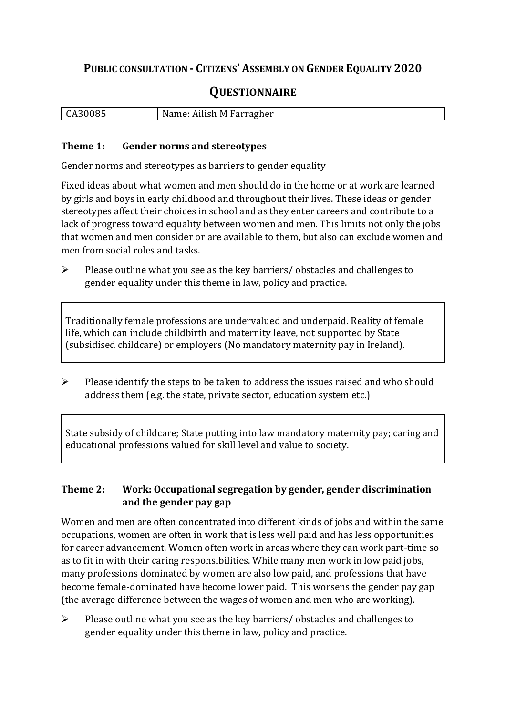## **PUBLIC CONSULTATION - CITIZENS' ASSEMBLY ON GENDER EQUALITY 2020**

# **QUESTIONNAIRE**

| CA30085<br>Name: Ailish M Farragher |
|-------------------------------------|
|-------------------------------------|

#### **Theme 1: Gender norms and stereotypes**

Gender norms and stereotypes as barriers to gender equality

Fixed ideas about what women and men should do in the home or at work are learned by girls and boys in early childhood and throughout their lives. These ideas or gender stereotypes affect their choices in school and as they enter careers and contribute to a lack of progress toward equality between women and men. This limits not only the jobs that women and men consider or are available to them, but also can exclude women and men from social roles and tasks.

➢ Please outline what you see as the key barriers/ obstacles and challenges to gender equality under this theme in law, policy and practice.

Traditionally female professions are undervalued and underpaid. Reality of female life, which can include childbirth and maternity leave, not supported by State (subsidised childcare) or employers (No mandatory maternity pay in Ireland).

➢ Please identify the steps to be taken to address the issues raised and who should address them (e.g. the state, private sector, education system etc.)

State subsidy of childcare; State putting into law mandatory maternity pay; caring and educational professions valued for skill level and value to society.

#### **Theme 2: Work: Occupational segregation by gender, gender discrimination and the gender pay gap**

Women and men are often concentrated into different kinds of jobs and within the same occupations, women are often in work that is less well paid and has less opportunities for career advancement. Women often work in areas where they can work part-time so as to fit in with their caring responsibilities. While many men work in low paid jobs, many professions dominated by women are also low paid, and professions that have become female-dominated have become lower paid. This worsens the gender pay gap (the average difference between the wages of women and men who are working).

➢ Please outline what you see as the key barriers/ obstacles and challenges to gender equality under this theme in law, policy and practice.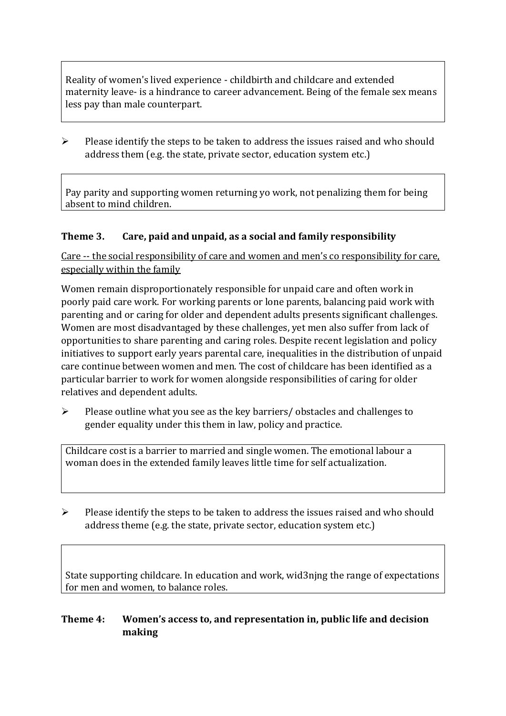Reality of women's lived experience - childbirth and childcare and extended maternity leave- is a hindrance to career advancement. Being of the female sex means less pay than male counterpart.

➢ Please identify the steps to be taken to address the issues raised and who should address them (e.g. the state, private sector, education system etc.)

Pay parity and supporting women returning yo work, not penalizing them for being absent to mind children.

#### **Theme 3. Care, paid and unpaid, as a social and family responsibility**

Care -- the social responsibility of care and women and men's co responsibility for care, especially within the family

Women remain disproportionately responsible for unpaid care and often work in poorly paid care work. For working parents or [lone parents,](https://aran.library.nuigalway.ie/bitstream/handle/10379/6044/Millar_and_Crosse_Activation_Report.pdf?sequence=1&isAllowed=y) balancing paid work with parenting and or caring for older and dependent adults presents significant challenges. Women are [most disadvantaged by these challenges,](https://eige.europa.eu/gender-equality-index/game/IE/W) yet men also suffer from lack of opportunities to share parenting and caring roles. Despite recent legislation and policy initiatives to support early years parental care, [inequalities in the distribution of unpaid](https://www.ihrec.ie/app/uploads/2019/07/Caring-and-Unpaid-Work-in-Ireland_Final.pdf)  [care](https://www.ihrec.ie/app/uploads/2019/07/Caring-and-Unpaid-Work-in-Ireland_Final.pdf) continue between women and men. The cost of childcare has been identified as a particular barrier to work for women alongside responsibilities of caring for older relatives and dependent adults.

➢ Please outline what you see as the key barriers/ obstacles and challenges to gender equality under this them in law, policy and practice.

Childcare cost is a barrier to married and single women. The emotional labour a woman does in the extended family leaves little time for self actualization.

 $\triangleright$  Please identify the steps to be taken to address the issues raised and who should address theme (e.g. the state, private sector, education system etc.)

State supporting childcare. In education and work, wid3njng the range of expectations for men and women, to balance roles.

### **Theme 4: Women's access to, and representation in, public life and decision making**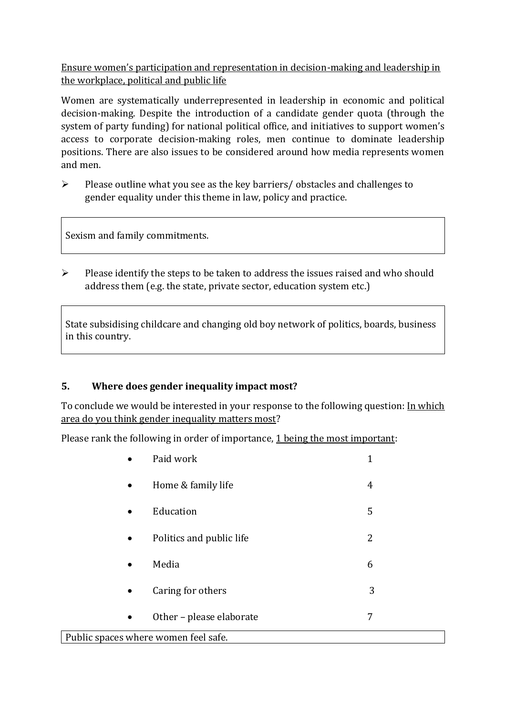Ensure women's participation and representation in decision-making and leadership in the workplace, political and public life

Women are systematically underrepresented in leadership in [economic](https://eige.europa.eu/gender-equality-index/2019/compare-countries/power/2/bar) and [political](https://eige.europa.eu/gender-equality-index/2019/compare-countries/power/1/bar)  [decision-](https://eige.europa.eu/gender-equality-index/2019/compare-countries/power/1/bar)making. Despite the introduction of a candidate gender quota (through the system of party funding) for national political office, and [initiatives](https://betterbalance.ie/) to support women's access to corporate decision-making roles, men continue to dominate leadership positions. There are also issues to be considered around how media represents women and men.

➢ Please outline what you see as the key barriers/ obstacles and challenges to gender equality under this theme in law, policy and practice.

Sexism and family commitments.

➢ Please identify the steps to be taken to address the issues raised and who should address them (e.g. the state, private sector, education system etc.)

State subsidising childcare and changing old boy network of politics, boards, business in this country.

#### **5. Where does gender inequality impact most?**

To conclude we would be interested in your response to the following question: In which area do you think gender inequality matters most?

Please rank the following in order of importance, 1 being the most important:

|                                      | Paid work                | $\mathbf 1$ |  |
|--------------------------------------|--------------------------|-------------|--|
|                                      | Home & family life       | 4           |  |
|                                      | Education                | 5           |  |
| $\bullet$                            | Politics and public life | 2           |  |
|                                      | Media                    | 6           |  |
|                                      | Caring for others        | 3           |  |
| $\bullet$                            | Other - please elaborate | 7           |  |
| Public spaces where women feel safe. |                          |             |  |